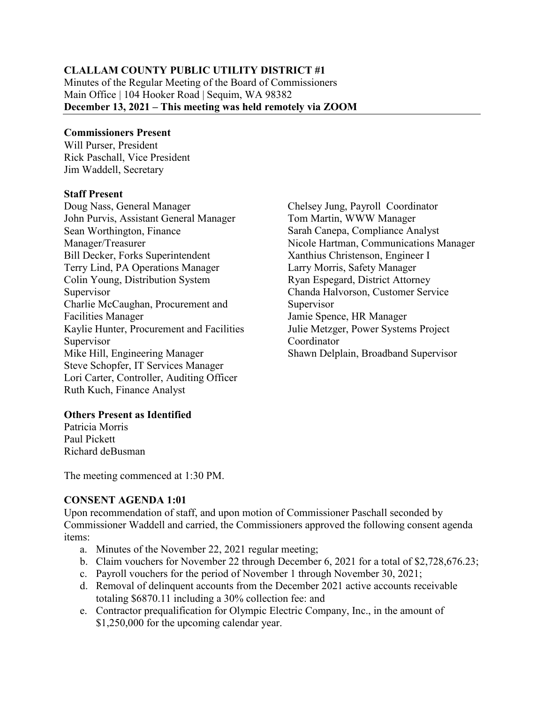#### **CLALLAM COUNTY PUBLIC UTILITY DISTRICT #1**

Minutes of the Regular Meeting of the Board of Commissioners Main Office | 104 Hooker Road | Sequim, WA 98382 **December 13, 2021 – This meeting was held remotely via ZOOM**

#### **Commissioners Present**

Will Purser, President Rick Paschall, Vice President Jim Waddell, Secretary

#### **Staff Present**

Doug Nass, General Manager John Purvis, Assistant General Manager Sean Worthington, Finance Manager/Treasurer Bill Decker, Forks Superintendent Terry Lind, PA Operations Manager Colin Young, Distribution System Supervisor Charlie McCaughan, Procurement and Facilities Manager Kaylie Hunter, Procurement and Facilities Supervisor Mike Hill, Engineering Manager Steve Schopfer, IT Services Manager Lori Carter, Controller, Auditing Officer Ruth Kuch, Finance Analyst

Chelsey Jung, Payroll Coordinator Tom Martin, WWW Manager Sarah Canepa, Compliance Analyst Nicole Hartman, Communications Manager Xanthius Christenson, Engineer I Larry Morris, Safety Manager Ryan Espegard, District Attorney Chanda Halvorson, Customer Service Supervisor Jamie Spence, HR Manager Julie Metzger, Power Systems Project Coordinator Shawn Delplain, Broadband Supervisor

# **Others Present as Identified**

Patricia Morris Paul Pickett Richard deBusman

The meeting commenced at 1:30 PM.

# **CONSENT AGENDA 1:01**

Upon recommendation of staff, and upon motion of Commissioner Paschall seconded by Commissioner Waddell and carried, the Commissioners approved the following consent agenda items:

- a. Minutes of the November 22, 2021 regular meeting;
- b. Claim vouchers for November 22 through December 6, 2021 for a total of \$2,728,676.23;
- c. Payroll vouchers for the period of November 1 through November 30, 2021;
- d. Removal of delinquent accounts from the December 2021 active accounts receivable totaling \$6870.11 including a 30% collection fee: and
- e. Contractor prequalification for Olympic Electric Company, Inc., in the amount of \$1,250,000 for the upcoming calendar year.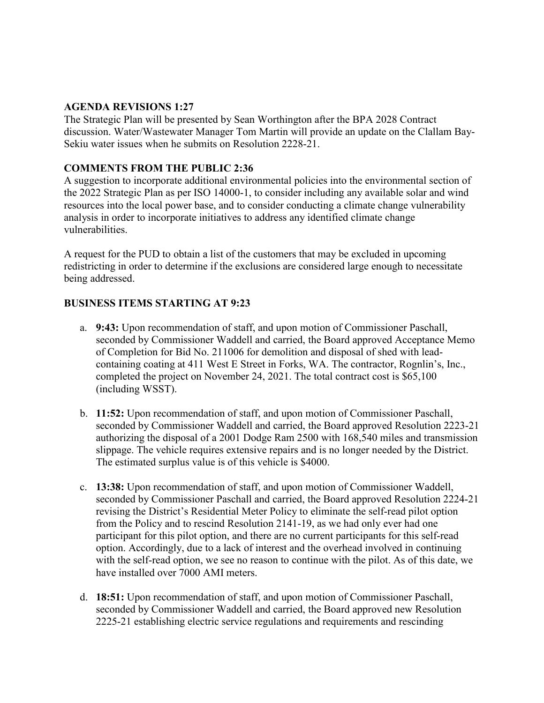#### **AGENDA REVISIONS 1:27**

The Strategic Plan will be presented by Sean Worthington after the BPA 2028 Contract discussion. Water/Wastewater Manager Tom Martin will provide an update on the Clallam Bay-Sekiu water issues when he submits on Resolution 2228-21.

# **COMMENTS FROM THE PUBLIC 2:36**

A suggestion to incorporate additional environmental policies into the environmental section of the 2022 Strategic Plan as per ISO 14000-1, to consider including any available solar and wind resources into the local power base, and to consider conducting a climate change vulnerability analysis in order to incorporate initiatives to address any identified climate change vulnerabilities.

A request for the PUD to obtain a list of the customers that may be excluded in upcoming redistricting in order to determine if the exclusions are considered large enough to necessitate being addressed.

# **BUSINESS ITEMS STARTING AT 9:23**

- a. **9:43:** Upon recommendation of staff, and upon motion of Commissioner Paschall, seconded by Commissioner Waddell and carried, the Board approved Acceptance Memo of Completion for Bid No. 211006 for demolition and disposal of shed with leadcontaining coating at 411 West E Street in Forks, WA. The contractor, Rognlin's, Inc., completed the project on November 24, 2021. The total contract cost is \$65,100 (including WSST).
- b. **11:52:** Upon recommendation of staff, and upon motion of Commissioner Paschall, seconded by Commissioner Waddell and carried, the Board approved Resolution 2223-21 authorizing the disposal of a 2001 Dodge Ram 2500 with 168,540 miles and transmission slippage. The vehicle requires extensive repairs and is no longer needed by the District. The estimated surplus value is of this vehicle is \$4000.
- c. **13:38:** Upon recommendation of staff, and upon motion of Commissioner Waddell, seconded by Commissioner Paschall and carried, the Board approved Resolution 2224-21 revising the District's Residential Meter Policy to eliminate the self-read pilot option from the Policy and to rescind Resolution 2141-19, as we had only ever had one participant for this pilot option, and there are no current participants for this self-read option. Accordingly, due to a lack of interest and the overhead involved in continuing with the self-read option, we see no reason to continue with the pilot. As of this date, we have installed over 7000 AMI meters.
- d. **18:51:** Upon recommendation of staff, and upon motion of Commissioner Paschall, seconded by Commissioner Waddell and carried, the Board approved new Resolution 2225-21 establishing electric service regulations and requirements and rescinding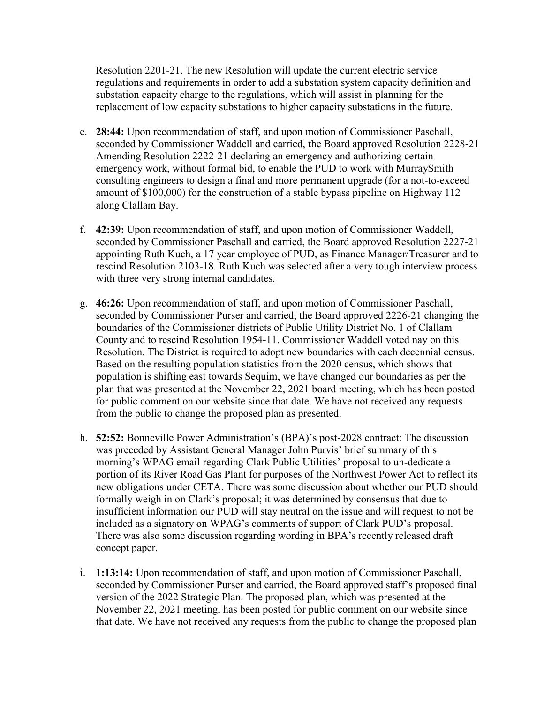Resolution 2201-21. The new Resolution will update the current electric service regulations and requirements in order to add a substation system capacity definition and substation capacity charge to the regulations, which will assist in planning for the replacement of low capacity substations to higher capacity substations in the future.

- e. **28:44:** Upon recommendation of staff, and upon motion of Commissioner Paschall, seconded by Commissioner Waddell and carried, the Board approved Resolution 2228-21 Amending Resolution 2222-21 declaring an emergency and authorizing certain emergency work, without formal bid, to enable the PUD to work with MurraySmith consulting engineers to design a final and more permanent upgrade (for a not-to-exceed amount of \$100,000) for the construction of a stable bypass pipeline on Highway 112 along Clallam Bay.
- f. **42:39:** Upon recommendation of staff, and upon motion of Commissioner Waddell, seconded by Commissioner Paschall and carried, the Board approved Resolution 2227-21 appointing Ruth Kuch, a 17 year employee of PUD, as Finance Manager/Treasurer and to rescind Resolution 2103-18. Ruth Kuch was selected after a very tough interview process with three very strong internal candidates.
- g. **46:26:** Upon recommendation of staff, and upon motion of Commissioner Paschall, seconded by Commissioner Purser and carried, the Board approved 2226-21 changing the boundaries of the Commissioner districts of Public Utility District No. 1 of Clallam County and to rescind Resolution 1954-11. Commissioner Waddell voted nay on this Resolution. The District is required to adopt new boundaries with each decennial census. Based on the resulting population statistics from the 2020 census, which shows that population is shifting east towards Sequim, we have changed our boundaries as per the plan that was presented at the November 22, 2021 board meeting, which has been posted for public comment on our website since that date. We have not received any requests from the public to change the proposed plan as presented.
- h. **52:52:** Bonneville Power Administration's (BPA)'s post-2028 contract: The discussion was preceded by Assistant General Manager John Purvis' brief summary of this morning's WPAG email regarding Clark Public Utilities' proposal to un-dedicate a portion of its River Road Gas Plant for purposes of the Northwest Power Act to reflect its new obligations under CETA. There was some discussion about whether our PUD should formally weigh in on Clark's proposal; it was determined by consensus that due to insufficient information our PUD will stay neutral on the issue and will request to not be included as a signatory on WPAG's comments of support of Clark PUD's proposal. There was also some discussion regarding wording in BPA's recently released draft concept paper.
- i. **1:13:14:** Upon recommendation of staff, and upon motion of Commissioner Paschall, seconded by Commissioner Purser and carried, the Board approved staff's proposed final version of the 2022 Strategic Plan. The proposed plan, which was presented at the November 22, 2021 meeting, has been posted for public comment on our website since that date. We have not received any requests from the public to change the proposed plan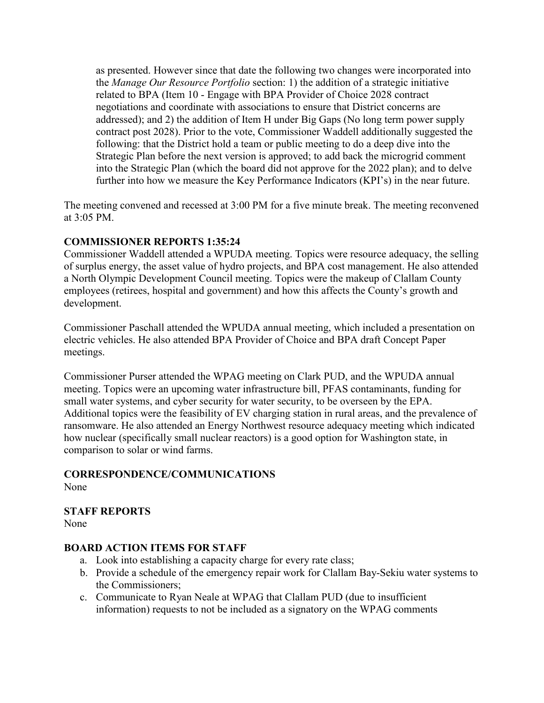as presented. However since that date the following two changes were incorporated into the *Manage Our Resource Portfolio* section: 1) the addition of a strategic initiative related to BPA (Item 10 - Engage with BPA Provider of Choice 2028 contract negotiations and coordinate with associations to ensure that District concerns are addressed); and 2) the addition of Item H under Big Gaps (No long term power supply contract post 2028). Prior to the vote, Commissioner Waddell additionally suggested the following: that the District hold a team or public meeting to do a deep dive into the Strategic Plan before the next version is approved; to add back the microgrid comment into the Strategic Plan (which the board did not approve for the 2022 plan); and to delve further into how we measure the Key Performance Indicators (KPI's) in the near future.

The meeting convened and recessed at 3:00 PM for a five minute break. The meeting reconvened at 3:05 PM.

# **COMMISSIONER REPORTS 1:35:24**

Commissioner Waddell attended a WPUDA meeting. Topics were resource adequacy, the selling of surplus energy, the asset value of hydro projects, and BPA cost management. He also attended a North Olympic Development Council meeting. Topics were the makeup of Clallam County employees (retirees, hospital and government) and how this affects the County's growth and development.

Commissioner Paschall attended the WPUDA annual meeting, which included a presentation on electric vehicles. He also attended BPA Provider of Choice and BPA draft Concept Paper meetings.

Commissioner Purser attended the WPAG meeting on Clark PUD, and the WPUDA annual meeting. Topics were an upcoming water infrastructure bill, PFAS contaminants, funding for small water systems, and cyber security for water security, to be overseen by the EPA. Additional topics were the feasibility of EV charging station in rural areas, and the prevalence of ransomware. He also attended an Energy Northwest resource adequacy meeting which indicated how nuclear (specifically small nuclear reactors) is a good option for Washington state, in comparison to solar or wind farms.

# **CORRESPONDENCE/COMMUNICATIONS**

None

# **STAFF REPORTS**

None

# **BOARD ACTION ITEMS FOR STAFF**

- a. Look into establishing a capacity charge for every rate class;
- b. Provide a schedule of the emergency repair work for Clallam Bay-Sekiu water systems to the Commissioners;
- c. Communicate to Ryan Neale at WPAG that Clallam PUD (due to insufficient information) requests to not be included as a signatory on the WPAG comments